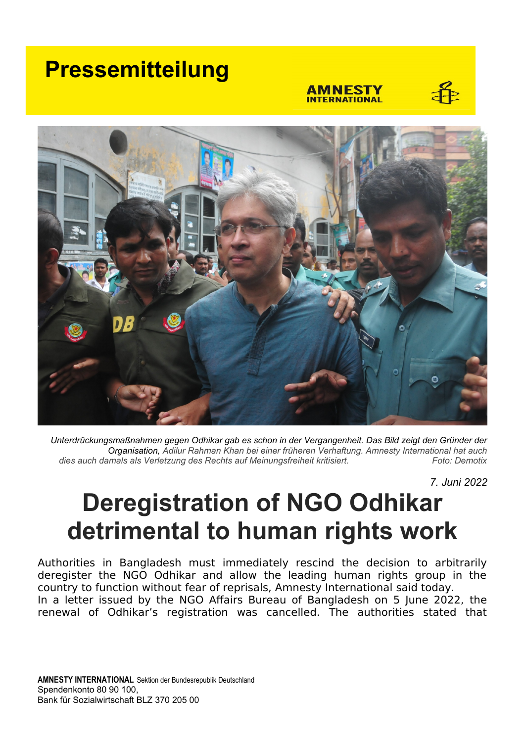## **Pressemitteilung**

#### AMNESTY **INTERNATIONAL**





*Unterdrückungsmaßnahmen gegen Odhikar gab es schon in der Vergangenheit. Das Bild zeigt den Gründer der Organisation, Adilur Rahman Khan bei einer früheren Verhaftung. Amnesty International hat auch* dies auch damals als Verletzung des Rechts auf Meinungsfreiheit kritisiert.

*7. Juni 2022*

# **Deregistration of NGO Odhikar detrimental to human rights work**

Authorities in Bangladesh must immediately rescind the decision to arbitrarily deregister the NGO Odhikar and allow the leading human rights group in the country to function without fear of reprisals, Amnesty International said today. In a letter issued by the NGO Affairs Bureau of Bangladesh on 5 June 2022, the renewal of Odhikar's registration was cancelled. The authorities stated that

**AMNESTY INTERNATIONAL** Sektion der Bundesrepublik Deutschland Spendenkonto 80 90 100, Bank für Sozialwirtschaft BLZ 370 205 00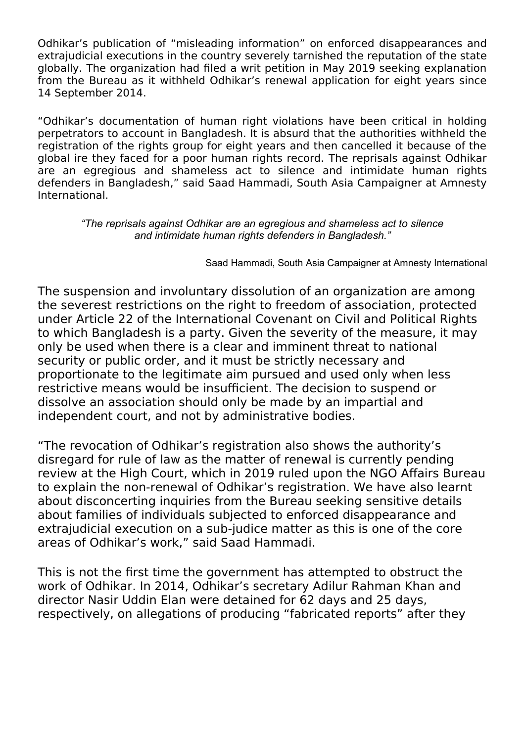Odhikar's publication of "misleading information" on enforced disappearances and extrajudicial executions in the country severely tarnished the reputation of the state globally. The organization had filed a writ petition in May 2019 seeking explanation from the Bureau as it withheld Odhikar's renewal application for eight years since 14 September 2014.

"Odhikar's documentation of human right violations have been critical in holding perpetrators to account in Bangladesh. It is absurd that the authorities withheld the registration of the rights group for eight years and then cancelled it because of the global ire they faced for a poor human rights record. The reprisals against Odhikar are an egregious and shameless act to silence and intimidate human rights defenders in Bangladesh," said Saad Hammadi, South Asia Campaigner at Amnesty International.

### *"The reprisals against Odhikar are an egregious and shameless act to silence and intimidate human rights defenders in Bangladesh."*

Saad Hammadi, South Asia Campaigner at Amnesty International

The suspension and involuntary dissolution of an organization are among the severest restrictions on the right to freedom of association, protected under Article 22 of the International Covenant on Civil and Political Rights to which Bangladesh is a party. Given the severity of the measure, it may only be used when there is a clear and imminent threat to national security or public order, and it must be strictly necessary and proportionate to the legitimate aim pursued and used only when less restrictive means would be insufficient. The decision to suspend or dissolve an association should only be made by an impartial and independent court, and not by administrative bodies.

"The revocation of Odhikar's registration also shows the authority's disregard for rule of law as the matter of renewal is currently pending review at the High Court, which in 2019 ruled upon the NGO Affairs Bureau to explain the non-renewal of Odhikar's registration. We have also learnt about disconcerting inquiries from the Bureau seeking sensitive details about families of individuals subjected to enforced disappearance and extrajudicial execution on a sub-judice matter as this is one of the core areas of Odhikar's work," said Saad Hammadi.

This is not the first time the government has attempted to obstruct the work of Odhikar. In 2014, Odhikar's secretary Adilur Rahman Khan and director Nasir Uddin Elan were detained for 62 days and 25 days, respectively, on allegations of producing "fabricated reports" after they